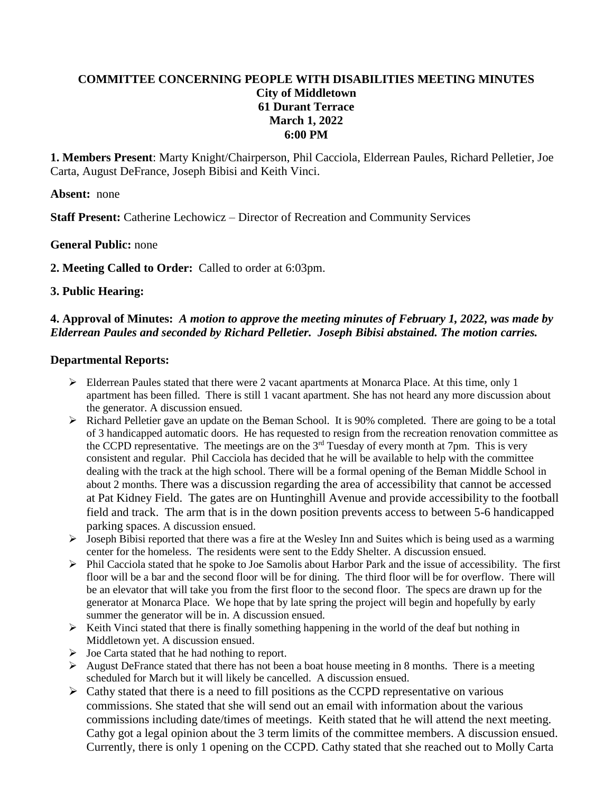# **COMMITTEE CONCERNING PEOPLE WITH DISABILITIES MEETING MINUTES City of Middletown 61 Durant Terrace March 1, 2022 6:00 PM**

**1. Members Present**: Marty Knight/Chairperson, Phil Cacciola, Elderrean Paules, Richard Pelletier, Joe Carta, August DeFrance, Joseph Bibisi and Keith Vinci.

**Absent:** none

**Staff Present:** Catherine Lechowicz – Director of Recreation and Community Services

### **General Public:** none

**2. Meeting Called to Order:** Called to order at 6:03pm.

### **3. Public Hearing:**

## **4. Approval of Minutes:** *A motion to approve the meeting minutes of February 1, 2022, was made by Elderrean Paules and seconded by Richard Pelletier. Joseph Bibisi abstained. The motion carries.*

### **Departmental Reports:**

- $\triangleright$  Elderrean Paules stated that there were 2 vacant apartments at Monarca Place. At this time, only 1 apartment has been filled. There is still 1 vacant apartment. She has not heard any more discussion about the generator. A discussion ensued.
- $\triangleright$  Richard Pelletier gave an update on the Beman School. It is 90% completed. There are going to be a total of 3 handicapped automatic doors. He has requested to resign from the recreation renovation committee as the CCPD representative. The meetings are on the  $3<sup>rd</sup>$  Tuesday of every month at 7pm. This is very consistent and regular. Phil Cacciola has decided that he will be available to help with the committee dealing with the track at the high school. There will be a formal opening of the Beman Middle School in about 2 months. There was a discussion regarding the area of accessibility that cannot be accessed at Pat Kidney Field. The gates are on Huntinghill Avenue and provide accessibility to the football field and track. The arm that is in the down position prevents access to between 5-6 handicapped parking spaces. A discussion ensued.
- $\triangleright$  Joseph Bibisi reported that there was a fire at the Wesley Inn and Suites which is being used as a warming center for the homeless. The residents were sent to the Eddy Shelter. A discussion ensued.
- $\triangleright$  Phil Cacciola stated that he spoke to Joe Samolis about Harbor Park and the issue of accessibility. The first floor will be a bar and the second floor will be for dining. The third floor will be for overflow. There will be an elevator that will take you from the first floor to the second floor. The specs are drawn up for the generator at Monarca Place. We hope that by late spring the project will begin and hopefully by early summer the generator will be in. A discussion ensued.
- $\triangleright$  Keith Vinci stated that there is finally something happening in the world of the deaf but nothing in Middletown yet. A discussion ensued.
- $\triangleright$  Joe Carta stated that he had nothing to report.
- $\triangleright$  August DeFrance stated that there has not been a boat house meeting in 8 months. There is a meeting scheduled for March but it will likely be cancelled. A discussion ensued.
- $\triangleright$  Cathy stated that there is a need to fill positions as the CCPD representative on various commissions. She stated that she will send out an email with information about the various commissions including date/times of meetings. Keith stated that he will attend the next meeting. Cathy got a legal opinion about the 3 term limits of the committee members. A discussion ensued. Currently, there is only 1 opening on the CCPD. Cathy stated that she reached out to Molly Carta